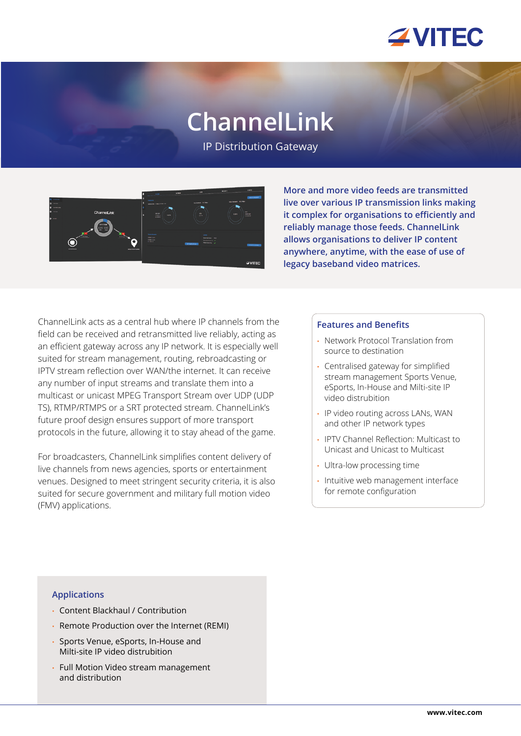

# **ChannelLink**

IP Distribution Gateway



**More and more video feeds are transmitted live over various IP transmission links making it complex for organisations to efficiently and reliably manage those feeds. ChannelLink allows organisations to deliver IP content anywhere, anytime, with the ease of use of legacy baseband video matrices.**

ChannelLink acts as a central hub where IP channels from the field can be received and retransmitted live reliably, acting as an efficient gateway across any IP network. It is especially well suited for stream management, routing, rebroadcasting or IPTV stream reflection over WAN/the internet. It can receive any number of input streams and translate them into a multicast or unicast MPEG Transport Stream over UDP (UDP TS), RTMP/RTMPS or a SRT protected stream. ChannelLink's future proof design ensures support of more transport protocols in the future, allowing it to stay ahead of the game.

For broadcasters, ChannelLink simplifies content delivery of live channels from news agencies, sports or entertainment venues. Designed to meet stringent security criteria, it is also suited for secure government and military full motion video (FMV) applications.

#### **Features and Benefits**

- Network Protocol Translation from source to destination
- Centralised gateway for simplified stream management Sports Venue, eSports, In-House and Milti-site IP video distrubition
- IP video routing across LANs, WAN and other IP network types
- IPTV Channel Reflection: Multicast to Unicast and Unicast to Multicast
- Ultra-low processing time
- Intuitive web management interface for remote configuration

#### **Applications**

- Content Blackhaul / Contribution
- Remote Production over the Internet (REMI)
- Sports Venue, eSports, In-House and Milti-site IP video distrubition
- Full Motion Video stream management and distribution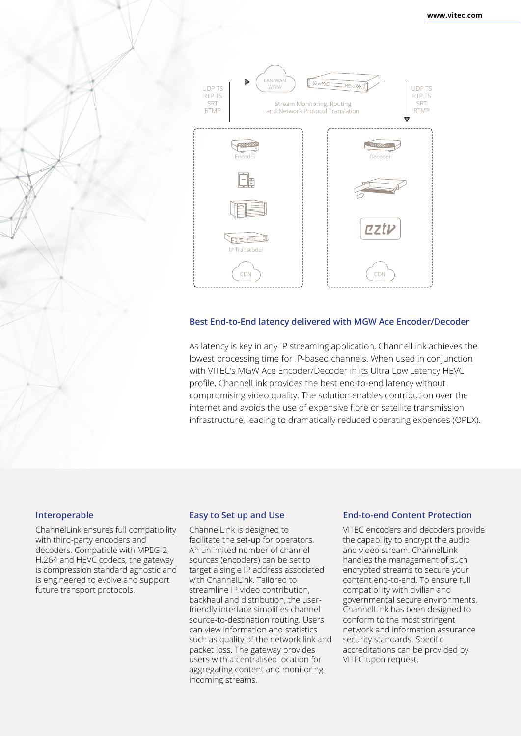

#### **Best End-to-End latency delivered with MGW Ace Encoder/Decoder**

As latency is key in any IP streaming application, ChannelLink achieves the lowest processing time for IP-based channels. When used in conjunction with VITEC's MGW Ace Encoder/Decoder in its Ultra Low Latency HEVC profile, ChannelLink provides the best end-to-end latency without compromising video quality. The solution enables contribution over the internet and avoids the use of expensive fibre or satellite transmission infrastructure, leading to dramatically reduced operating expenses (OPEX).

#### **Interoperable**

ChannelLink ensures full compatibility with third-party encoders and decoders. Compatible with MPEG-2, H.264 and HEVC codecs, the gateway is compression standard agnostic and is engineered to evolve and support future transport protocols.

#### **Easy to Set up and Use**

ChannelLink is designed to facilitate the set-up for operators. An unlimited number of channel sources (encoders) can be set to target a single IP address associated with ChannelLink. Tailored to streamline IP video contribution, backhaul and distribution, the userfriendly interface simplifies channel source-to-destination routing. Users can view information and statistics such as quality of the network link and packet loss. The gateway provides users with a centralised location for aggregating content and monitoring incoming streams.

#### **End-to-end Content Protection**

VITEC encoders and decoders provide the capability to encrypt the audio and video stream. ChannelLink handles the management of such encrypted streams to secure your content end-to-end. To ensure full compatibility with civilian and governmental secure environments, ChannelLink has been designed to conform to the most stringent network and information assurance security standards. Specific accreditations can be provided by VITEC upon request.